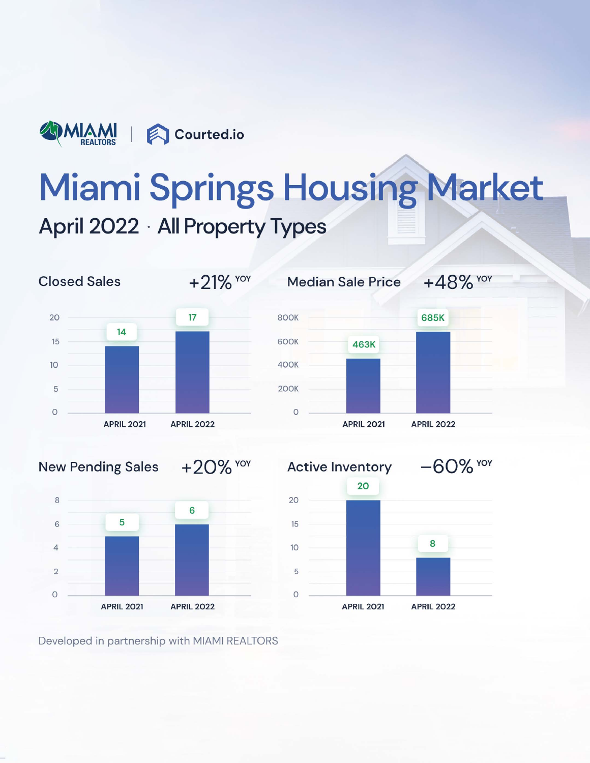

# **Miami Springs Housing Market April 2022 · All Property Types**









Developed in partnership with MIAMI REALTORS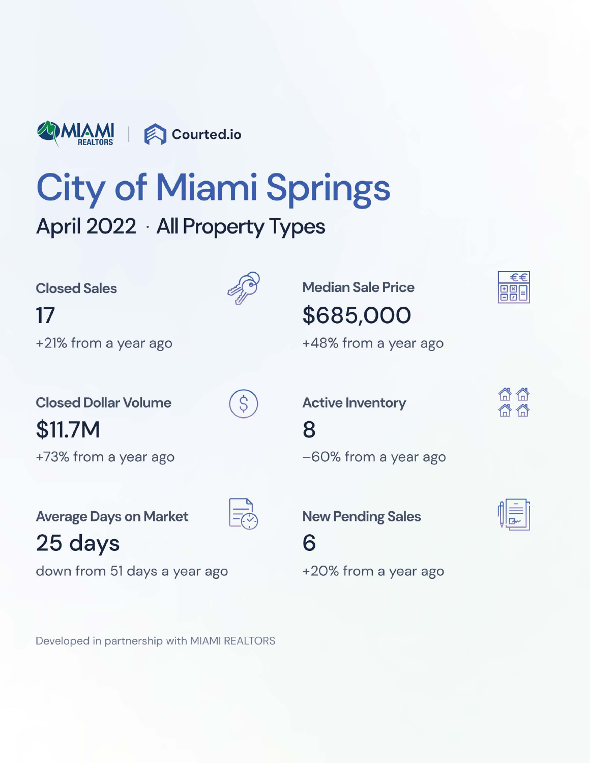

# City of Miami Springs

## April 2022 • All Property Types

17 **\$685,000** +21% from a year ago  $+48\%$  from a year ago

**\$11.7M** 8

Average Days on Market  $\overline{z}$  <br> New Pending Sales

**25 days** 6

down from 51 days a year ago  $+20%$  from a year ago

Developed in partnership with MIAMI REALTORS

Closed Sales **Median Sale Price** 

**Closed Dollar Volume**  $(S)$  **Active Inventory** 

+73% from a year ago  $-60\%$  from a year ago



合合 合合